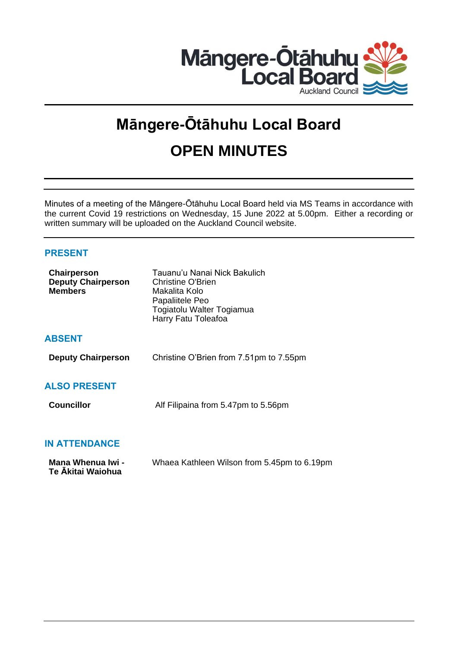

# **Māngere-Ōtāhuhu Local Board OPEN MINUTES**

Minutes of a meeting of the Māngere-Ōtāhuhu Local Board held via MS Teams in accordance with the current Covid 19 restrictions on Wednesday, 15 June 2022 at 5.00pm. Either a recording or written summary will be uploaded on the Auckland Council website.

# **PRESENT**

| Chairperson<br><b>Deputy Chairperson</b><br><b>Members</b> | Tauanu'u Nanai Nick Bakulich<br>Christine O'Brien<br>Makalita Kolo<br>Papaliitele Peo<br>Togiatolu Walter Togiamua<br>Harry Fatu Toleafoa |
|------------------------------------------------------------|-------------------------------------------------------------------------------------------------------------------------------------------|
| <b>ABSENT</b>                                              |                                                                                                                                           |
| <b>Deputy Chairperson</b>                                  | Christine O'Brien from 7.51pm to 7.55pm                                                                                                   |
| <b>ALSO PRESENT</b>                                        |                                                                                                                                           |
| <b>Councillor</b>                                          | Alf Filipaina from 5.47pm to 5.56pm                                                                                                       |
| <b>IN ATTENDANCE</b>                                       |                                                                                                                                           |

| Mana Whenua Iwi - | Whaea Kathleen Wilson from 5.45pm to 6.19pm |
|-------------------|---------------------------------------------|
| Te Ākitai Waiohua |                                             |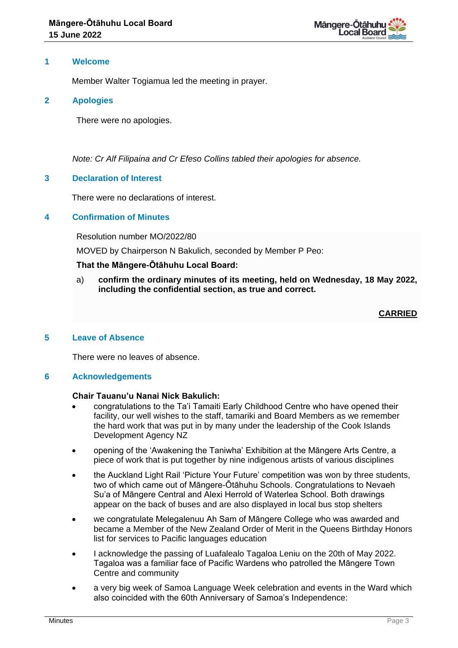

# **1 Welcome**

Member Walter Togiamua led the meeting in prayer.

# **2 Apologies**

There were no apologies.

*Note: Cr Alf Filipaina and Cr Efeso Collins tabled their apologies for absence.*

# **3 Declaration of Interest**

There were no declarations of interest.

# **4 Confirmation of Minutes**

Resolution number MO/2022/80

MOVED by Chairperson N Bakulich, seconded by Member P Peo:

# **That the Māngere-Ōtāhuhu Local Board:**

a) **confirm the ordinary minutes of its meeting, held on Wednesday, 18 May 2022, including the confidential section, as true and correct.**

# **CARRIED**

## **5 Leave of Absence**

There were no leaves of absence.

## **6 Acknowledgements**

## **Chair Tauanu'u Nanai Nick Bakulich:**

- congratulations to the Ta'i Tamaiti Early Childhood Centre who have opened their facility, our well wishes to the staff, tamariki and Board Members as we remember the hard work that was put in by many under the leadership of the Cook Islands Development Agency NZ
- opening of the 'Awakening the Taniwha' Exhibition at the Māngere Arts Centre, a piece of work that is put together by nine indigenous artists of various disciplines
- the Auckland Light Rail 'Picture Your Future' competition was won by three students, two of which came out of Māngere-Ōtāhuhu Schools. Congratulations to Nevaeh Su'a of Māngere Central and Alexi Herrold of Waterlea School. Both drawings appear on the back of buses and are also displayed in local bus stop shelters
- we congratulate Melegalenuu Ah Sam of Māngere College who was awarded and became a Member of the New Zealand Order of Merit in the Queens Birthday Honors list for services to Pacific languages education
- I acknowledge the passing of Luafalealo Tagaloa Leniu on the 20th of May 2022. Tagaloa was a familiar face of Pacific Wardens who patrolled the Māngere Town Centre and community
- a very big week of Samoa Language Week celebration and events in the Ward which also coincided with the 60th Anniversary of Samoa's Independence: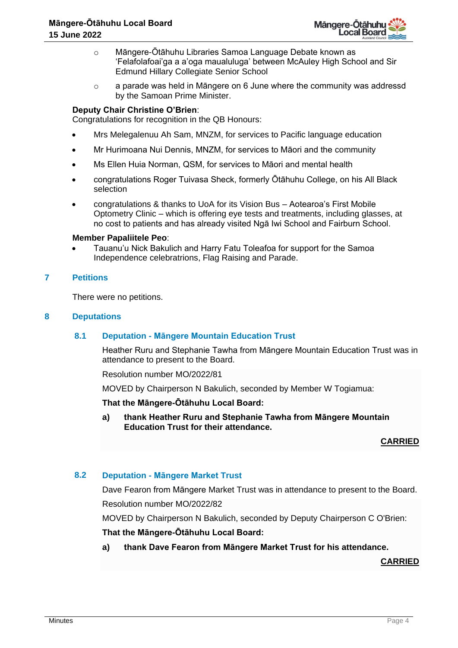

- o Māngere-Ōtāhuhu Libraries Samoa Language Debate known as 'Felafolafoai'ga a a'oga maualuluga' between McAuley High School and Sir Edmund Hillary Collegiate Senior School
- $\circ$  a parade was held in Māngere on 6 June where the community was addressd by the Samoan Prime Minister.

# **Deputy Chair Christine O'Brien**:

Congratulations for recognition in the QB Honours:

- Mrs Melegalenuu Ah Sam, MNZM, for services to Pacific language education
- Mr Hurimoana Nui Dennis, MNZM, for services to Māori and the community
- Ms Ellen Huia Norman, QSM, for services to Māori and mental health
- congratulations Roger Tuivasa Sheck, formerly Ōtāhuhu College, on his All Black selection
- congratulations & thanks to UoA for its Vision Bus Aotearoa's First Mobile Optometry Clinic – which is offering eye tests and treatments, including glasses, at no cost to patients and has already visited Ngā Iwi School and Fairburn School.

#### **Member Papaliitele Peo**:

• Tauanu'u Nick Bakulich and Harry Fatu Toleafoa for support for the Samoa Independence celebratrions, Flag Raising and Parade.

## **7 Petitions**

There were no petitions.

## **8 Deputations**

## **8.1 Deputation - Māngere Mountain Education Trust**

Heather Ruru and Stephanie Tawha from Māngere Mountain Education Trust was in attendance to present to the Board.

Resolution number MO/2022/81

MOVED by Chairperson N Bakulich, seconded by Member W Togiamua:

## **That the Māngere-Ōtāhuhu Local Board:**

**a) thank Heather Ruru and Stephanie Tawha from Māngere Mountain Education Trust for their attendance.**

**CARRIED**

## **8.2 Deputation - Māngere Market Trust**

Dave Fearon from Māngere Market Trust was in attendance to present to the Board. Resolution number MO/2022/82

MOVED by Chairperson N Bakulich, seconded by Deputy Chairperson C O'Brien:

## **That the Māngere-Ōtāhuhu Local Board:**

## **a) thank Dave Fearon from Māngere Market Trust for his attendance.**

**CARRIED**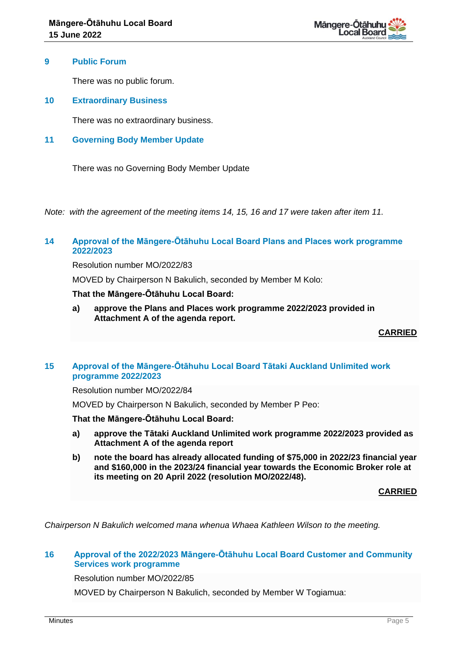

## **9 Public Forum**

There was no public forum.

**10 Extraordinary Business**

There was no extraordinary business.

**11 Governing Body Member Update**

There was no Governing Body Member Update

*Note: with the agreement of the meeting items 14, 15, 16 and 17 were taken after item 11.*

# **14 Approval of the Māngere-Ōtāhuhu Local Board Plans and Places work programme 2022/2023**

Resolution number MO/2022/83

MOVED by Chairperson N Bakulich, seconded by Member M Kolo:

## **That the Māngere-Ōtāhuhu Local Board:**

**a) approve the Plans and Places work programme 2022/2023 provided in Attachment A of the agenda report.**

**CARRIED**

# **15 Approval of the Māngere-Ōtāhuhu Local Board Tātaki Auckland Unlimited work programme 2022/2023**

Resolution number MO/2022/84

MOVED by Chairperson N Bakulich, seconded by Member P Peo:

**That the Māngere-Ōtāhuhu Local Board:**

- **a) approve the Tātaki Auckland Unlimited work programme 2022/2023 provided as Attachment A of the agenda report**
- **b) note the board has already allocated funding of \$75,000 in 2022/23 financial year and \$160,000 in the 2023/24 financial year towards the Economic Broker role at its meeting on 20 April 2022 (resolution MO/2022/48).**

**CARRIED**

*Chairperson N Bakulich welcomed mana whenua Whaea Kathleen Wilson to the meeting.*

# **16 Approval of the 2022/2023 Māngere-Ōtāhuhu Local Board Customer and Community Services work programme**

Resolution number MO/2022/85

MOVED by Chairperson N Bakulich, seconded by Member W Togiamua: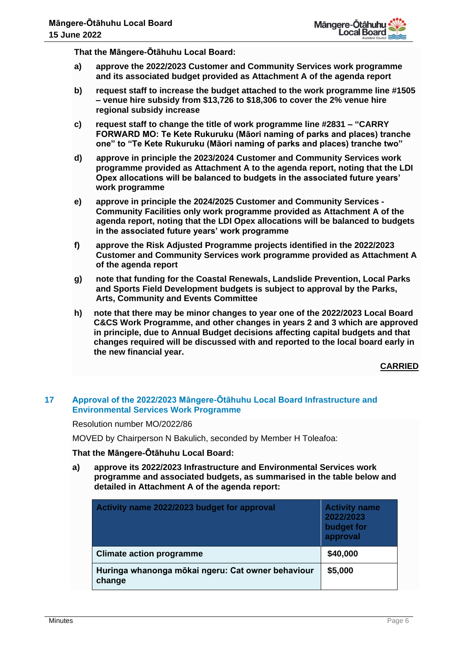**That the Māngere-Ōtāhuhu Local Board:**

- **a) approve the 2022/2023 Customer and Community Services work programme and its associated budget provided as Attachment A of the agenda report**
- **b) request staff to increase the budget attached to the work programme line #1505 – venue hire subsidy from \$13,726 to \$18,306 to cover the 2% venue hire regional subsidy increase**
- **c) request staff to change the title of work programme line #2831 – "CARRY FORWARD MO: Te Kete Rukuruku (Māori naming of parks and places) tranche one" to "Te Kete Rukuruku (Māori naming of parks and places) tranche two"**
- **d) approve in principle the 2023/2024 Customer and Community Services work programme provided as Attachment A to the agenda report, noting that the LDI Opex allocations will be balanced to budgets in the associated future years' work programme**
- **e) approve in principle the 2024/2025 Customer and Community Services - Community Facilities only work programme provided as Attachment A of the agenda report, noting that the LDI Opex allocations will be balanced to budgets in the associated future years' work programme**
- **f) approve the Risk Adjusted Programme projects identified in the 2022/2023 Customer and Community Services work programme provided as Attachment A of the agenda report**
- **g) note that funding for the Coastal Renewals, Landslide Prevention, Local Parks and Sports Field Development budgets is subject to approval by the Parks, Arts, Community and Events Committee**
- **h) note that there may be minor changes to year one of the 2022/2023 Local Board C&CS Work Programme, and other changes in years 2 and 3 which are approved in principle, due to Annual Budget decisions affecting capital budgets and that changes required will be discussed with and reported to the local board early in the new financial year.**

**CARRIED**

# **17 Approval of the 2022/2023 Māngere-Ōtāhuhu Local Board Infrastructure and Environmental Services Work Programme**

Resolution number MO/2022/86

MOVED by Chairperson N Bakulich, seconded by Member H Toleafoa:

# **That the Māngere-Ōtāhuhu Local Board:**

**a) approve its 2022/2023 Infrastructure and Environmental Services work programme and associated budgets, as summarised in the table below and detailed in Attachment A of the agenda report:**

| Activity name 2022/2023 budget for approval                 | <b>Activity name</b><br>2022/2023<br>budget for<br>approval |
|-------------------------------------------------------------|-------------------------------------------------------------|
| <b>Climate action programme</b>                             | \$40,000                                                    |
| Huringa whanonga mōkai ngeru: Cat owner behaviour<br>change | \$5,000                                                     |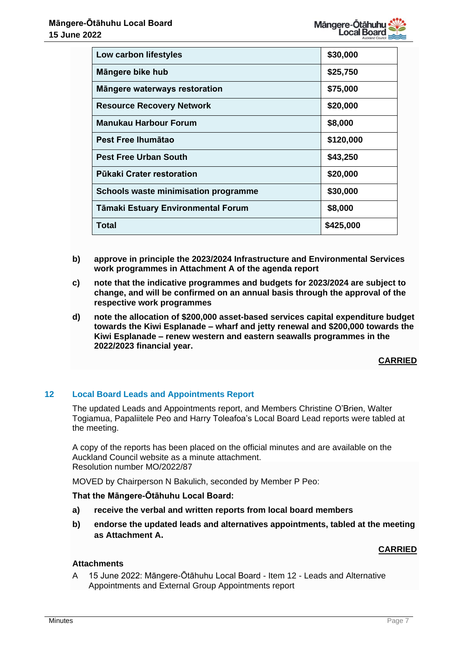| Low carbon lifestyles                | \$30,000  |
|--------------------------------------|-----------|
| Mängere bike hub                     | \$25,750  |
| Mängere waterways restoration        | \$75,000  |
| <b>Resource Recovery Network</b>     | \$20,000  |
| <b>Manukau Harbour Forum</b>         | \$8,000   |
| Pest Free Ihumātao                   | \$120,000 |
| <b>Pest Free Urban South</b>         | \$43,250  |
| Pūkaki Crater restoration            | \$20,000  |
| Schools waste minimisation programme | \$30,000  |
| Tāmaki Estuary Environmental Forum   | \$8,000   |
| Total                                | \$425,000 |

- **b) approve in principle the 2023/2024 Infrastructure and Environmental Services work programmes in Attachment A of the agenda report**
- **c) note that the indicative programmes and budgets for 2023/2024 are subject to change, and will be confirmed on an annual basis through the approval of the respective work programmes**
- **d) note the allocation of \$200,000 asset-based services capital expenditure budget towards the Kiwi Esplanade – wharf and jetty renewal and \$200,000 towards the Kiwi Esplanade – renew western and eastern seawalls programmes in the 2022/2023 financial year.**

# **CARRIED**

# **12 Local Board Leads and Appointments Report**

The updated Leads and Appointments report, and Members Christine O'Brien, Walter Togiamua, Papaliitele Peo and Harry Toleafoa's Local Board Lead reports were tabled at the meeting.

A copy of the reports has been placed on the official minutes and are available on the Auckland Council website as a minute attachment. Resolution number MO/2022/87

MOVED by Chairperson N Bakulich, seconded by Member P Peo:

## **That the Māngere-Ōtāhuhu Local Board:**

- **a) receive the verbal and written reports from local board members**
- **b) endorse the updated leads and alternatives appointments, tabled at the meeting as Attachment A.**

# **CARRIED**

# **Attachments**

A 15 June 2022: Māngere-Ōtāhuhu Local Board - Item 12 - Leads and Alternative Appointments and External Group Appointments report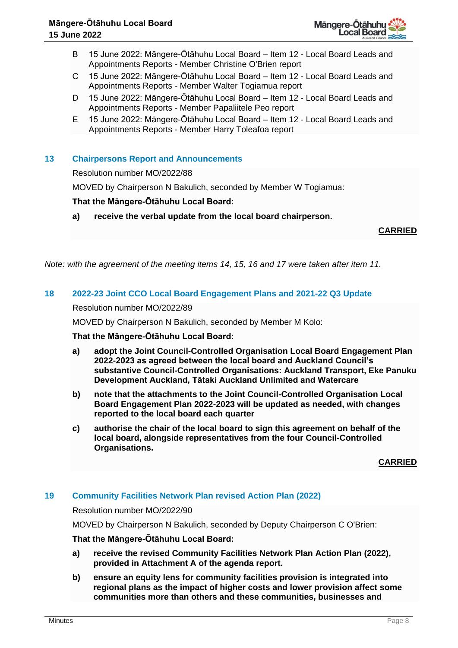

- B 15 June 2022: Māngere-Ōtāhuhu Local Board Item 12 Local Board Leads and Appointments Reports - Member Christine O'Brien report
- C 15 June 2022: Māngere-Ōtāhuhu Local Board Item 12 Local Board Leads and Appointments Reports - Member Walter Togiamua report
- D 15 June 2022: Māngere-Ōtāhuhu Local Board Item 12 Local Board Leads and Appointments Reports - Member Papaliitele Peo report
- E 15 June 2022: Māngere-Ōtāhuhu Local Board Item 12 Local Board Leads and Appointments Reports - Member Harry Toleafoa report

# **13 Chairpersons Report and Announcements**

Resolution number MO/2022/88

MOVED by Chairperson N Bakulich, seconded by Member W Togiamua:

## **That the Māngere-Ōtāhuhu Local Board:**

**a) receive the verbal update from the local board chairperson.**

**CARRIED**

*Note: with the agreement of the meeting items 14, 15, 16 and 17 were taken after item 11.*

## **18 2022-23 Joint CCO Local Board Engagement Plans and 2021-22 Q3 Update**

Resolution number MO/2022/89

MOVED by Chairperson N Bakulich, seconded by Member M Kolo:

**That the Māngere-Ōtāhuhu Local Board:**

- **a) adopt the Joint Council-Controlled Organisation Local Board Engagement Plan 2022-2023 as agreed between the local board and Auckland Council's substantive Council-Controlled Organisations: Auckland Transport, Eke Panuku Development Auckland, Tātaki Auckland Unlimited and Watercare**
- **b) note that the attachments to the Joint Council-Controlled Organisation Local Board Engagement Plan 2022-2023 will be updated as needed, with changes reported to the local board each quarter**
- **c) authorise the chair of the local board to sign this agreement on behalf of the local board, alongside representatives from the four Council-Controlled Organisations.**

**CARRIED**

# **19 Community Facilities Network Plan revised Action Plan (2022)**

Resolution number MO/2022/90

MOVED by Chairperson N Bakulich, seconded by Deputy Chairperson C O'Brien:

## **That the Māngere-Ōtāhuhu Local Board:**

- **a) receive the revised Community Facilities Network Plan Action Plan (2022), provided in Attachment A of the agenda report.**
- **b) ensure an equity lens for community facilities provision is integrated into regional plans as the impact of higher costs and lower provision affect some communities more than others and these communities, businesses and**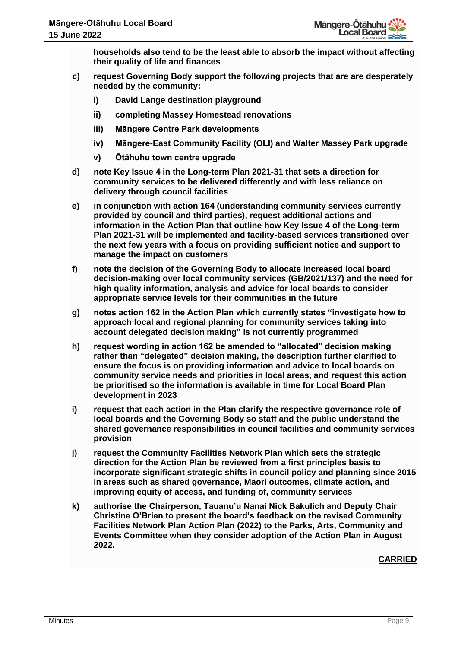**households also tend to be the least able to absorb the impact without affecting their quality of life and finances**

- **c) request Governing Body support the following projects that are are desperately needed by the community:** 
	- **i) David Lange destination playground**
	- **ii) completing Massey Homestead renovations**
	- **iii) Māngere Centre Park developments**
	- **iv) Māngere-East Community Facility (OLI) and Walter Massey Park upgrade**
	- **v) Ōtāhuhu town centre upgrade**
- **d) note Key Issue 4 in the Long-term Plan 2021-31 that sets a direction for community services to be delivered differently and with less reliance on delivery through council facilities**
- **e) in conjunction with action 164 (understanding community services currently provided by council and third parties), request additional actions and information in the Action Plan that outline how Key Issue 4 of the Long-term Plan 2021-31 will be implemented and facility-based services transitioned over the next few years with a focus on providing sufficient notice and support to manage the impact on customers**
- **f) note the decision of the Governing Body to allocate increased local board decision-making over local community services (GB/2021/137) and the need for high quality information, analysis and advice for local boards to consider appropriate service levels for their communities in the future**
- **g) notes action 162 in the Action Plan which currently states "investigate how to approach local and regional planning for community services taking into account delegated decision making" is not currently programmed**
- **h) request wording in action 162 be amended to "allocated" decision making rather than "delegated" decision making, the description further clarified to ensure the focus is on providing information and advice to local boards on community service needs and priorities in local areas, and request this action be prioritised so the information is available in time for Local Board Plan development in 2023**
- **i) request that each action in the Plan clarify the respective governance role of local boards and the Governing Body so staff and the public understand the shared governance responsibilities in council facilities and community services provision**
- **j) request the Community Facilities Network Plan which sets the strategic direction for the Action Plan be reviewed from a first principles basis to incorporate significant strategic shifts in council policy and planning since 2015 in areas such as shared governance, Maori outcomes, climate action, and improving equity of access, and funding of, community services**
- **k) authorise the Chairperson, Tauanu'u Nanai Nick Bakulich and Deputy Chair Christine O'Brien to present the board's feedback on the revised Community Facilities Network Plan Action Plan (2022) to the Parks, Arts, Community and Events Committee when they consider adoption of the Action Plan in August 2022.**

# **CARRIED**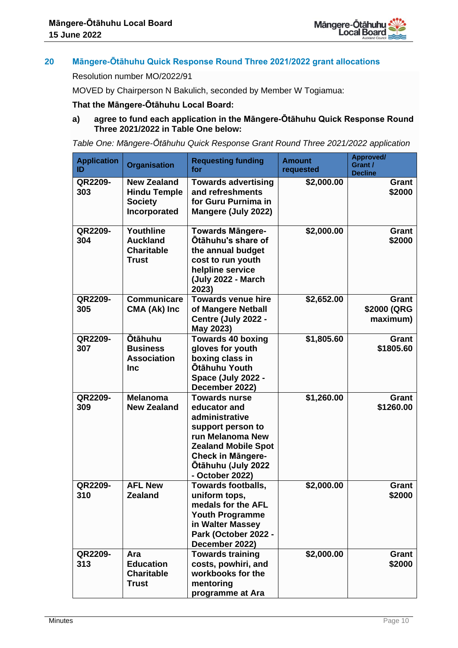

# **20 Māngere-Ōtāhuhu Quick Response Round Three 2021/2022 grant allocations**

Resolution number MO/2022/91

MOVED by Chairperson N Bakulich, seconded by Member W Togiamua:

## **That the Māngere-Ōtāhuhu Local Board:**

## **a) agree to fund each application in the Māngere-Ōtāhuhu Quick Response Round Three 2021/2022 in Table One below:**

*Table One: M*ā*ngere-Ōtāhuhu Quick Response Grant Round Three 2021/2022 application*

| <b>Application</b><br>ID | <b>Organisation</b>                                                         | <b>Requesting funding</b><br>for                                                                                                                                                                   | <b>Amount</b><br>requested | Approved/<br>Grant /<br><b>Decline</b> |
|--------------------------|-----------------------------------------------------------------------------|----------------------------------------------------------------------------------------------------------------------------------------------------------------------------------------------------|----------------------------|----------------------------------------|
| QR2209-<br>303           | <b>New Zealand</b><br><b>Hindu Temple</b><br><b>Society</b><br>Incorporated | <b>Towards advertising</b><br>and refreshments<br>for Guru Purnima in<br>Mangere (July 2022)                                                                                                       | \$2,000.00                 | Grant<br>\$2000                        |
| QR2209-<br>304           | Youthline<br><b>Auckland</b><br><b>Charitable</b><br><b>Trust</b>           | <b>Towards Mängere-</b><br><b>Otähuhu's share of</b><br>the annual budget<br>cost to run youth<br>helpline service<br>(July 2022 - March<br>2023)                                                  | \$2,000.00                 | Grant<br>\$2000                        |
| QR2209-<br>305           | <b>Communicare</b><br>CMA (Ak) Inc                                          | <b>Towards venue hire</b><br>of Mangere Netball<br>Centre (July 2022 -<br>May 2023)                                                                                                                | \$2,652.00                 | Grant<br>\$2000 (QRG<br>maximum)       |
| QR2209-<br>307           | <b>Otāhuhu</b><br><b>Business</b><br><b>Association</b><br><b>Inc</b>       | <b>Towards 40 boxing</b><br>gloves for youth<br>boxing class in<br>Ōtāhuhu Youth<br>Space (July 2022 -<br>December 2022)                                                                           | \$1,805.60                 | Grant<br>\$1805.60                     |
| QR2209-<br>309           | <b>Melanoma</b><br><b>New Zealand</b>                                       | <b>Towards nurse</b><br>educator and<br>administrative<br>support person to<br>run Melanoma New<br><b>Zealand Mobile Spot</b><br><b>Check in Mängere-</b><br>Ōtāhuhu (July 2022<br>- October 2022) | \$1,260.00                 | Grant<br>\$1260.00                     |
| QR2209-<br>310           | <b>AFL New</b><br><b>Zealand</b>                                            | <b>Towards footballs,</b><br>uniform tops.<br>medals for the AFL<br><b>Youth Programme</b><br>in Walter Massey<br>Park (October 2022 -<br>December 2022)                                           | \$2,000.00                 | Grant<br>\$2000                        |
| QR2209-<br>313           | Ara<br><b>Education</b><br><b>Charitable</b><br><b>Trust</b>                | <b>Towards training</b><br>costs, powhiri, and<br>workbooks for the<br>mentoring<br>programme at Ara                                                                                               | \$2,000.00                 | Grant<br>\$2000                        |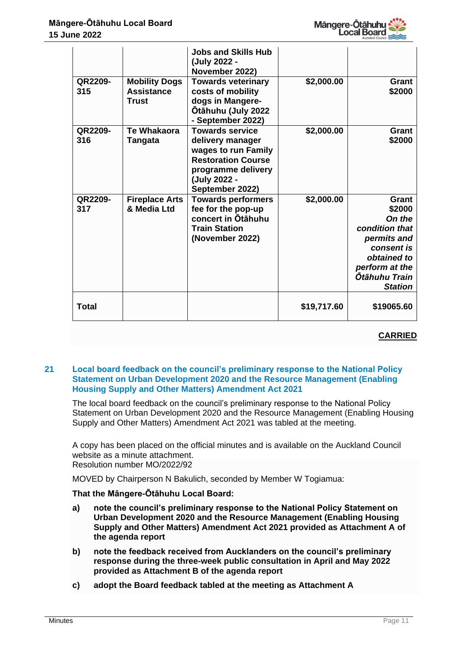

|                |                                                    | <b>Jobs and Skills Hub</b><br>(July 2022 -<br>November 2022)                                                                                            |             |                                                                                                                                                     |
|----------------|----------------------------------------------------|---------------------------------------------------------------------------------------------------------------------------------------------------------|-------------|-----------------------------------------------------------------------------------------------------------------------------------------------------|
| QR2209-<br>315 | <b>Mobility Dogs</b><br><b>Assistance</b><br>Trust | <b>Towards veterinary</b><br>costs of mobility<br>dogs in Mangere-<br>Ōtāhuhu (July 2022<br>- September 2022)                                           | \$2,000.00  | Grant<br>\$2000                                                                                                                                     |
| QR2209-<br>316 | Te Whakaora<br><b>Tangata</b>                      | <b>Towards service</b><br>delivery manager<br>wages to run Family<br><b>Restoration Course</b><br>programme delivery<br>(July 2022 -<br>September 2022) | \$2,000.00  | Grant<br>\$2000                                                                                                                                     |
| QR2209-<br>317 | <b>Fireplace Arts</b><br>& Media Ltd               | <b>Towards performers</b><br>fee for the pop-up<br>concert in Otāhuhu<br><b>Train Station</b><br>(November 2022)                                        | \$2,000.00  | Grant<br>\$2000<br>On the<br>condition that<br>permits and<br>consent is<br>obtained to<br>perform at the<br><b>Ōtāhuhu Train</b><br><b>Station</b> |
| Total          |                                                    |                                                                                                                                                         | \$19,717.60 | \$19065.60                                                                                                                                          |

# **CARRIED**

# **21 Local board feedback on the council's preliminary response to the National Policy Statement on Urban Development 2020 and the Resource Management (Enabling Housing Supply and Other Matters) Amendment Act 2021**

The local board feedback on the council's preliminary response to the National Policy Statement on Urban Development 2020 and the Resource Management (Enabling Housing Supply and Other Matters) Amendment Act 2021 was tabled at the meeting.

A copy has been placed on the official minutes and is available on the Auckland Council website as a minute attachment. Resolution number MO/2022/92

MOVED by Chairperson N Bakulich, seconded by Member W Togiamua:

# **That the Māngere-Ōtāhuhu Local Board:**

- **a) note the council's preliminary response to the National Policy Statement on Urban Development 2020 and the Resource Management (Enabling Housing Supply and Other Matters) Amendment Act 2021 provided as Attachment A of the agenda report**
- **b) note the feedback received from Aucklanders on the council's preliminary response during the three-week public consultation in April and May 2022 provided as Attachment B of the agenda report**
- **c) adopt the Board feedback tabled at the meeting as Attachment A**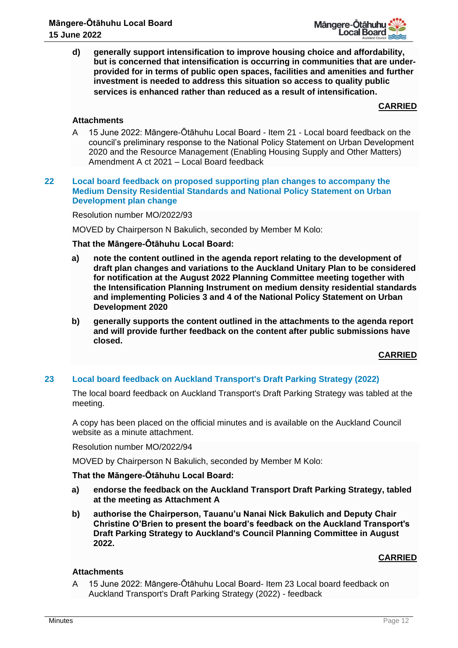**d) generally support intensification to improve housing choice and affordability, but is concerned that intensification is occurring in communities that are underprovided for in terms of public open spaces, facilities and amenities and further investment is needed to address this situation so access to quality public services is enhanced rather than reduced as a result of intensification.**

# **CARRIED**

# **Attachments**

A 15 June 2022: Māngere-Ōtāhuhu Local Board - Item 21 - Local board feedback on the council's preliminary response to the National Policy Statement on Urban Development 2020 and the Resource Management (Enabling Housing Supply and Other Matters) Amendment A ct 2021 – Local Board feedback

## **22 Local board feedback on proposed supporting plan changes to accompany the Medium Density Residential Standards and National Policy Statement on Urban Development plan change**

## Resolution number MO/2022/93

MOVED by Chairperson N Bakulich, seconded by Member M Kolo:

## **That the Māngere-Ōtāhuhu Local Board:**

- **a) note the content outlined in the agenda report relating to the development of draft plan changes and variations to the Auckland Unitary Plan to be considered for notification at the August 2022 Planning Committee meeting together with the Intensification Planning Instrument on medium density residential standards and implementing Policies 3 and 4 of the National Policy Statement on Urban Development 2020**
- **b) generally supports the content outlined in the attachments to the agenda report and will provide further feedback on the content after public submissions have closed.**

# **CARRIED**

# **23 Local board feedback on Auckland Transport's Draft Parking Strategy (2022)**

The local board feedback on Auckland Transport's Draft Parking Strategy was tabled at the meeting.

A copy has been placed on the official minutes and is available on the Auckland Council website as a minute attachment.

Resolution number MO/2022/94

MOVED by Chairperson N Bakulich, seconded by Member M Kolo:

# **That the Māngere-Ōtāhuhu Local Board:**

- **a) endorse the feedback on the Auckland Transport Draft Parking Strategy, tabled at the meeting as Attachment A**
- **b) authorise the Chairperson, Tauanu'u Nanai Nick Bakulich and Deputy Chair Christine O'Brien to present the board's feedback on the Auckland Transport's Draft Parking Strategy to Auckland's Council Planning Committee in August 2022.**

# **CARRIED**

# **Attachments**

A 15 June 2022: Māngere-Ōtāhuhu Local Board- Item 23 Local board feedback on Auckland Transport's Draft Parking Strategy (2022) - feedback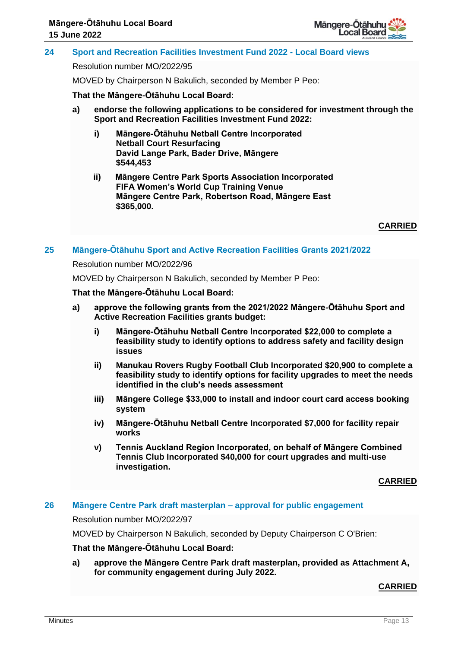

# **24 Sport and Recreation Facilities Investment Fund 2022 - Local Board views**

Resolution number MO/2022/95

MOVED by Chairperson N Bakulich, seconded by Member P Peo:

**That the Māngere-Ōtāhuhu Local Board:**

- **a) endorse the following applications to be considered for investment through the Sport and Recreation Facilities Investment Fund 2022:**
	- **i) Māngere-Ōtāhuhu Netball Centre Incorporated Netball Court Resurfacing David Lange Park, Bader Drive, Māngere \$544,453**
	- **ii) Māngere Centre Park Sports Association Incorporated FIFA Women's World Cup Training Venue Māngere Centre Park, Robertson Road, Māngere East \$365,000.**

**CARRIED**

## **25 Māngere-Ōtāhuhu Sport and Active Recreation Facilities Grants 2021/2022**

#### Resolution number MO/2022/96

MOVED by Chairperson N Bakulich, seconded by Member P Peo:

#### **That the Māngere-Ōtāhuhu Local Board:**

- **a) approve the following grants from the 2021/2022 Māngere-Ōtāhuhu Sport and Active Recreation Facilities grants budget:**
	- **i) Māngere-Ōtāhuhu Netball Centre Incorporated \$22,000 to complete a feasibility study to identify options to address safety and facility design issues**
	- **ii) Manukau Rovers Rugby Football Club Incorporated \$20,900 to complete a feasibility study to identify options for facility upgrades to meet the needs identified in the club's needs assessment**
	- **iii) Māngere College \$33,000 to install and indoor court card access booking system**
	- **iv) Māngere-Ōtāhuhu Netball Centre Incorporated \$7,000 for facility repair works**
	- **v) Tennis Auckland Region Incorporated, on behalf of Māngere Combined Tennis Club Incorporated \$40,000 for court upgrades and multi-use investigation.**

## **CARRIED**

## **26 Māngere Centre Park draft masterplan – approval for public engagement**

Resolution number MO/2022/97

MOVED by Chairperson N Bakulich, seconded by Deputy Chairperson C O'Brien:

## **That the Māngere-Ōtāhuhu Local Board:**

**a) approve the Māngere Centre Park draft masterplan, provided as Attachment A, for community engagement during July 2022.**

## **CARRIED**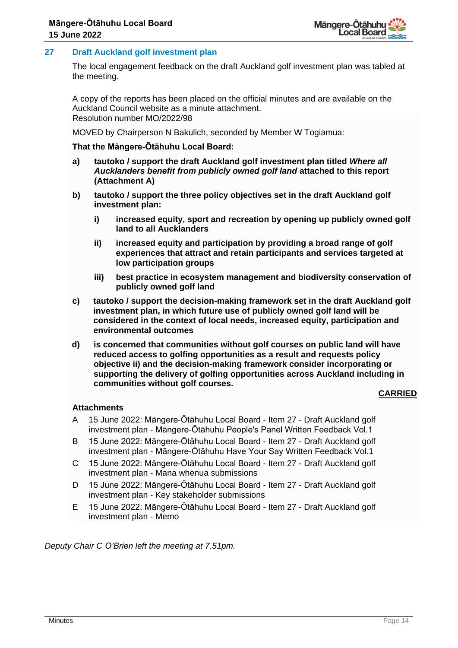# **27 Draft Auckland golf investment plan**

The local engagement feedback on the draft Auckland golf investment plan was tabled at the meeting.

A copy of the reports has been placed on the official minutes and are available on the Auckland Council website as a minute attachment. Resolution number MO/2022/98

MOVED by Chairperson N Bakulich, seconded by Member W Togiamua:

## **That the Māngere-Ōtāhuhu Local Board:**

- **a) tautoko / support the draft Auckland golf investment plan titled** *Where all Aucklanders benefit from publicly owned golf land* **attached to this report (Attachment A)**
- **b) tautoko / support the three policy objectives set in the draft Auckland golf investment plan:**
	- **i) increased equity, sport and recreation by opening up publicly owned golf land to all Aucklanders**
	- **ii) increased equity and participation by providing a broad range of golf experiences that attract and retain participants and services targeted at low participation groups**
	- **iii) best practice in ecosystem management and biodiversity conservation of publicly owned golf land**
- **c) tautoko / support the decision-making framework set in the draft Auckland golf investment plan, in which future use of publicly owned golf land will be considered in the context of local needs, increased equity, participation and environmental outcomes**
- **d) is concerned that communities without golf courses on public land will have reduced access to golfing opportunities as a result and requests policy objective ii) and the decision-making framework consider incorporating or supporting the delivery of golfing opportunities across Auckland including in communities without golf courses.**

# **CARRIED**

## **Attachments**

- A 15 June 2022: Māngere-Ōtāhuhu Local Board Item 27 Draft Auckland golf investment plan - Māngere-Ōtāhuhu People's Panel Written Feedback Vol.1
- B 15 June 2022: Māngere-Ōtāhuhu Local Board Item 27 Draft Auckland golf investment plan - Māngere-Ōtāhuhu Have Your Say Written Feedback Vol.1
- C 15 June 2022: Māngere-Ōtāhuhu Local Board Item 27 Draft Auckland golf investment plan - Mana whenua submissions
- D 15 June 2022: Māngere-Ōtāhuhu Local Board Item 27 Draft Auckland golf investment plan - Key stakeholder submissions
- E 15 June 2022: Māngere-Ōtāhuhu Local Board Item 27 Draft Auckland golf investment plan - Memo

*Deputy Chair C O'Brien left the meeting at 7.51pm.*